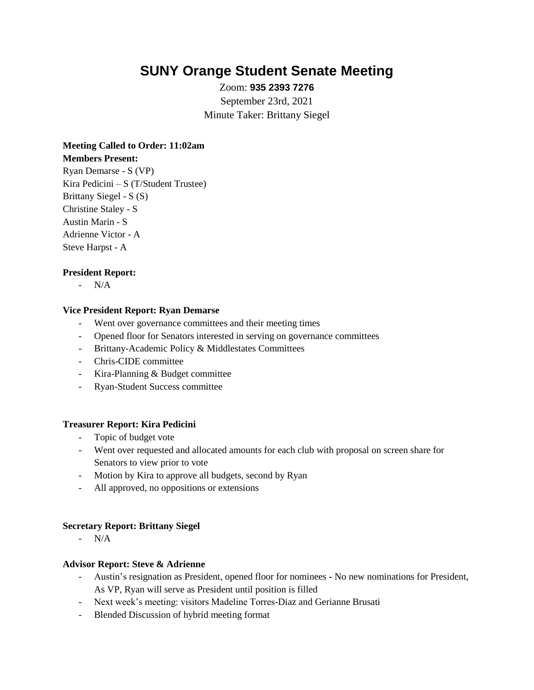# **SUNY Orange Student Senate Meeting**

Zoom: **935 2393 7276** September 23rd, 2021 Minute Taker: Brittany Siegel

## **Meeting Called to Order: 11:02am Members Present:**

Ryan Demarse - S (VP) Kira Pedicini – S (T/Student Trustee) Brittany Siegel - S (S) Christine Staley - S Austin Marin - S Adrienne Victor - A Steve Harpst - A

## **President Report:**

- N/A

#### **Vice President Report: Ryan Demarse**

- Went over governance committees and their meeting times
- Opened floor for Senators interested in serving on governance committees
- Brittany-Academic Policy & Middlestates Committees
- Chris-CIDE committee
- Kira-Planning & Budget committee
- Ryan-Student Success committee

#### **Treasurer Report: Kira Pedicini**

- Topic of budget vote
- Went over requested and allocated amounts for each club with proposal on screen share for Senators to view prior to vote
- Motion by Kira to approve all budgets, second by Ryan
- All approved, no oppositions or extensions

#### **Secretary Report: Brittany Siegel**

- N/A

#### **Advisor Report: Steve & Adrienne**

- Austin's resignation as President, opened floor for nominees **-** No new nominations for President, As VP, Ryan will serve as President until position is filled
- Next week's meeting: visitors Madeline Torres-Diaz and Gerianne Brusati
- Blended Discussion of hybrid meeting format